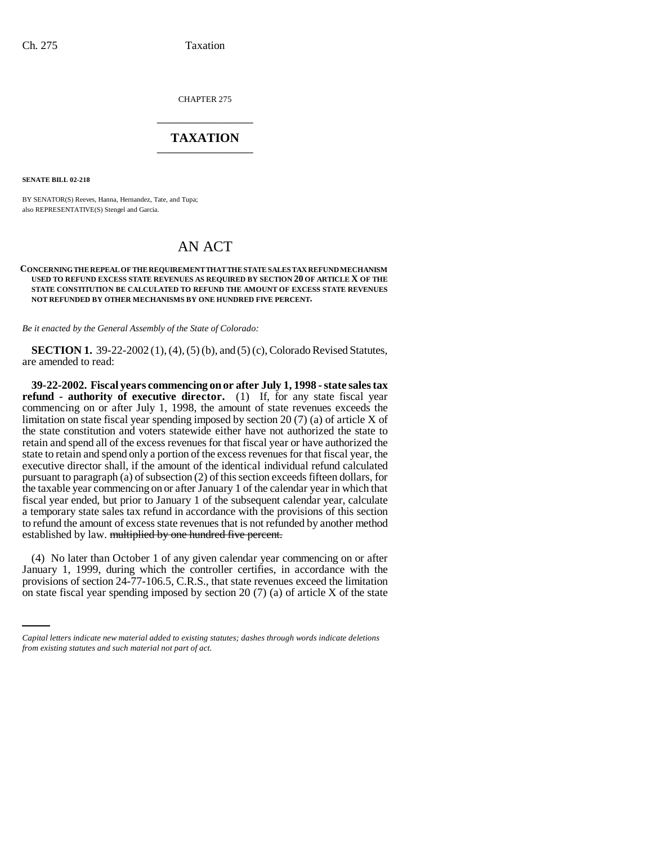CHAPTER 275 \_\_\_\_\_\_\_\_\_\_\_\_\_\_\_

## **TAXATION** \_\_\_\_\_\_\_\_\_\_\_\_\_\_\_

**SENATE BILL 02-218**

BY SENATOR(S) Reeves, Hanna, Hernandez, Tate, and Tupa; also REPRESENTATIVE(S) Stengel and Garcia.

## AN ACT

## **CONCERNING THE REPEAL OF THE REQUIREMENT THAT THE STATE SALES TAX REFUND MECHANISM USED TO REFUND EXCESS STATE REVENUES AS REQUIRED BY SECTION 20 OF ARTICLE X OF THE STATE CONSTITUTION BE CALCULATED TO REFUND THE AMOUNT OF EXCESS STATE REVENUES NOT REFUNDED BY OTHER MECHANISMS BY ONE HUNDRED FIVE PERCENT.**

*Be it enacted by the General Assembly of the State of Colorado:*

**SECTION 1.** 39-22-2002 (1), (4), (5) (b), and (5) (c), Colorado Revised Statutes, are amended to read:

**39-22-2002. Fiscal years commencing on or after July 1, 1998 - state sales tax refund - authority of executive director.** (1) If, for any state fiscal year commencing on or after July 1, 1998, the amount of state revenues exceeds the limitation on state fiscal year spending imposed by section 20 (7) (a) of article X of the state constitution and voters statewide either have not authorized the state to retain and spend all of the excess revenues for that fiscal year or have authorized the state to retain and spend only a portion of the excess revenues for that fiscal year, the executive director shall, if the amount of the identical individual refund calculated pursuant to paragraph (a) of subsection (2) of this section exceeds fifteen dollars, for the taxable year commencing on or after January 1 of the calendar year in which that fiscal year ended, but prior to January 1 of the subsequent calendar year, calculate a temporary state sales tax refund in accordance with the provisions of this section to refund the amount of excess state revenues that is not refunded by another method established by law. multiplied by one hundred five percent.

January 1, 1999, during which the controller certifies, in accordance with the (4) No later than October 1 of any given calendar year commencing on or after provisions of section 24-77-106.5, C.R.S., that state revenues exceed the limitation on state fiscal year spending imposed by section 20  $(7)$  (a) of article X of the state

*Capital letters indicate new material added to existing statutes; dashes through words indicate deletions from existing statutes and such material not part of act.*